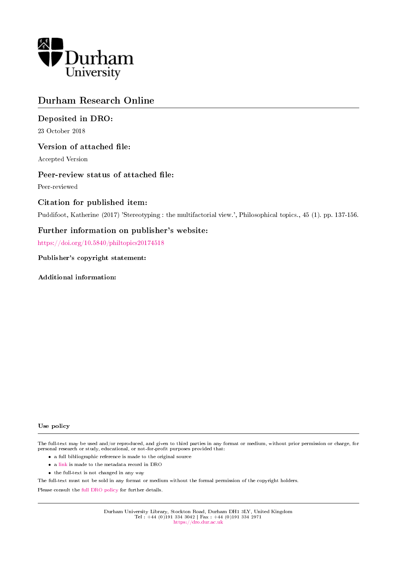

# Durham Research Online

## Deposited in DRO:

23 October 2018

### Version of attached file:

Accepted Version

### Peer-review status of attached file:

Peer-reviewed

### Citation for published item:

Puddifoot, Katherine (2017) 'Stereotyping : the multifactorial view.', Philosophical topics., 45 (1). pp. 137-156.

### Further information on publisher's website:

<https://doi.org/10.5840/philtopics20174518>

#### Publisher's copyright statement:

Additional information:

#### Use policy

The full-text may be used and/or reproduced, and given to third parties in any format or medium, without prior permission or charge, for personal research or study, educational, or not-for-profit purposes provided that:

- a full bibliographic reference is made to the original source
- a [link](http://dro.dur.ac.uk/26589/) is made to the metadata record in DRO
- the full-text is not changed in any way

The full-text must not be sold in any format or medium without the formal permission of the copyright holders.

Please consult the [full DRO policy](https://dro.dur.ac.uk/policies/usepolicy.pdf) for further details.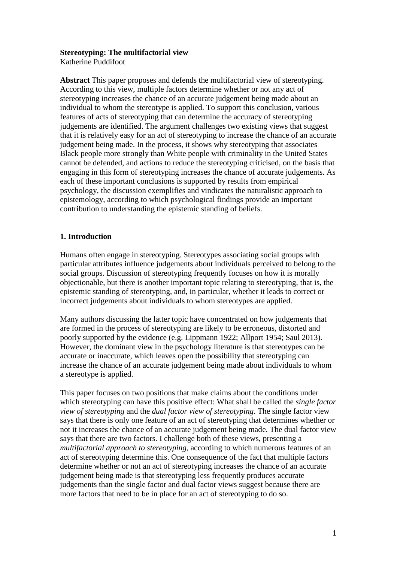### **Stereotyping: The multifactorial view**

Katherine Puddifoot

**Abstract** This paper proposes and defends the multifactorial view of stereotyping. According to this view, multiple factors determine whether or not any act of stereotyping increases the chance of an accurate judgement being made about an individual to whom the stereotype is applied. To support this conclusion, various features of acts of stereotyping that can determine the accuracy of stereotyping judgements are identified. The argument challenges two existing views that suggest that it is relatively easy for an act of stereotyping to increase the chance of an accurate judgement being made. In the process, it shows why stereotyping that associates Black people more strongly than White people with criminality in the United States cannot be defended, and actions to reduce the stereotyping criticised, on the basis that engaging in this form of stereotyping increases the chance of accurate judgements. As each of these important conclusions is supported by results from empirical psychology, the discussion exemplifies and vindicates the naturalistic approach to epistemology, according to which psychological findings provide an important contribution to understanding the epistemic standing of beliefs.

### **1. Introduction**

Humans often engage in stereotyping. Stereotypes associating social groups with particular attributes influence judgements about individuals perceived to belong to the social groups. Discussion of stereotyping frequently focuses on how it is morally objectionable, but there is another important topic relating to stereotyping, that is, the epistemic standing of stereotyping, and, in particular, whether it leads to correct or incorrect judgements about individuals to whom stereotypes are applied.

Many authors discussing the latter topic have concentrated on how judgements that are formed in the process of stereotyping are likely to be erroneous, distorted and poorly supported by the evidence (e.g. Lippmann 1922; Allport 1954; Saul 2013). However, the dominant view in the psychology literature is that stereotypes can be accurate or inaccurate, which leaves open the possibility that stereotyping can increase the chance of an accurate judgement being made about individuals to whom a stereotype is applied.

<span id="page-1-0"></span>This paper focuses on two positions that make claims about the conditions under which stereotyping can have this positive effect: What shall be called the *single factor view of stereotyping* and the *dual factor view of stereotyping*. The single factor view says that there is only one feature of an act of stereotyping that determines whether or not it increases the chance of an accurate judgement being made. The dual factor view says that there are two factors. I challenge both of these views, presenting a *multifactorial approach to stereotyping*, according to which numerous features of an act of stereotyping determine this. One consequence of the fact that multiple factors determine whether or not an act of stereotyping increases the chance of an accurate judgement being made is that stereotyping less frequently produces accurate judgements than the single factor and dual factor views suggest because there are more factors that need to be in place for an act of stereotyping to do so.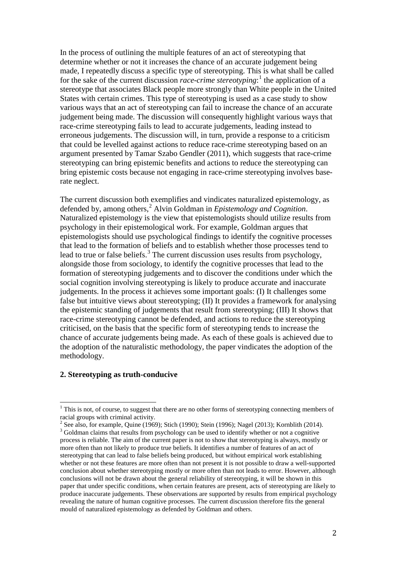In the process of outlining the multiple features of an act of stereotyping that determine whether or not it increases the chance of an accurate judgement being made, I repeatedly discuss a specific type of stereotyping. This is what shall be called for the sake of the current discussion *race-crime stereotyping*: [1](#page-1-0) the application of a stereotype that associates Black people more strongly than White people in the United States with certain crimes. This type of stereotyping is used as a case study to show various ways that an act of stereotyping can fail to increase the chance of an accurate judgement being made. The discussion will consequently highlight various ways that race-crime stereotyping fails to lead to accurate judgements, leading instead to erroneous judgements. The discussion will, in turn, provide a response to a criticism that could be levelled against actions to reduce race-crime stereotyping based on an argument presented by Tamar Szabo Gendler (2011), which suggests that race-crime stereotyping can bring epistemic benefits and actions to reduce the stereotyping can bring epistemic costs because not engaging in race-crime stereotyping involves baserate neglect.

The current discussion both exemplifies and vindicates naturalized epistemology, as defended by, among others,<sup>[2](#page-2-0)</sup> Alvin Goldman in *Epistemology and Cognition*. Naturalized epistemology is the view that epistemologists should utilize results from psychology in their epistemological work. For example, Goldman argues that epistemologists should use psychological findings to identify the cognitive processes that lead to the formation of beliefs and to establish whether those processes tend to lead to true or false beliefs.<sup>[3](#page-2-1)</sup> The current discussion uses results from psychology, alongside those from sociology, to identify the cognitive processes that lead to the formation of stereotyping judgements and to discover the conditions under which the social cognition involving stereotyping is likely to produce accurate and inaccurate judgements. In the process it achieves some important goals: (I) It challenges some false but intuitive views about stereotyping; (II) It provides a framework for analysing the epistemic standing of judgements that result from stereotyping; (III) It shows that race-crime stereotyping cannot be defended, and actions to reduce the stereotyping criticised, on the basis that the specific form of stereotyping tends to increase the chance of accurate judgements being made. As each of these goals is achieved due to the adoption of the naturalistic methodology, the paper vindicates the adoption of the methodology.

#### **2. Stereotyping as truth-conducive**

<sup>2</sup> See also, for example, Quine (1969); Stich (1990); Stein (1996); Nagel (2013); Kornblith (2014).

 $<sup>1</sup>$  This is not, of course, to suggest that there are no other forms of stereotyping connecting members of</sup> racial groups with criminal activity.

<span id="page-2-2"></span><span id="page-2-1"></span><span id="page-2-0"></span><sup>&</sup>lt;sup>3</sup> Goldman claims that results from psychology can be used to identify whether or not a cognitive process is reliable. The aim of the current paper is not to show that stereotyping is always, mostly or more often than not likely to produce true beliefs. It identifies a number of features of an act of stereotyping that can lead to false beliefs being produced, but without empirical work establishing whether or not these features are more often than not present it is not possible to draw a well-supported conclusion about whether stereotyping mostly or more often than not leads to error. However, although conclusions will not be drawn about the general reliability of stereotyping, it will be shown in this paper that under specific conditions, when certain features are present, acts of stereotyping are likely to produce inaccurate judgements. These observations are supported by results from empirical psychology revealing the nature of human cognitive processes. The current discussion therefore fits the general mould of naturalized epistemology as defended by Goldman and others.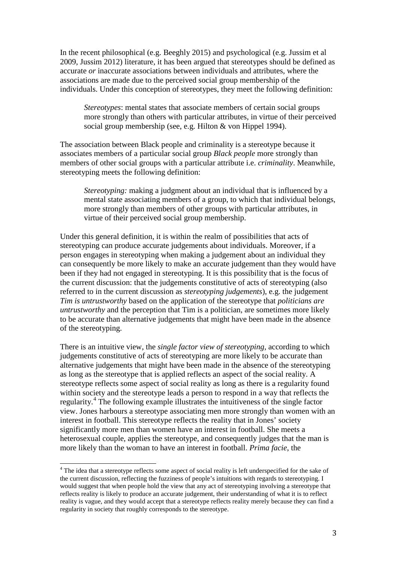In the recent philosophical (e.g. Beeghly 2015) and psychological (e.g. Jussim et al 2009, Jussim 2012) literature, it has been argued that stereotypes should be defined as accurate *or* inaccurate associations between individuals and attributes, where the associations are made due to the perceived social group membership of the individuals. Under this conception of stereotypes, they meet the following definition:

*Stereotypes*: mental states that associate members of certain social groups more strongly than others with particular attributes, in virtue of their perceived social group membership (see, e.g. Hilton & von Hippel 1994).

The association between Black people and criminality is a stereotype because it associates members of a particular social group *Black people* more strongly than members of other social groups with a particular attribute i.e. *criminality*. Meanwhile, stereotyping meets the following definition:

*Stereotyping:* making a judgment about an individual that is influenced by a mental state associating members of a group, to which that individual belongs, more strongly than members of other groups with particular attributes, in virtue of their perceived social group membership.

Under this general definition, it is within the realm of possibilities that acts of stereotyping can produce accurate judgements about individuals. Moreover, if a person engages in stereotyping when making a judgement about an individual they can consequently be more likely to make an accurate judgement than they would have been if they had not engaged in stereotyping. It is this possibility that is the focus of the current discussion: that the judgements constitutive of acts of stereotyping (also referred to in the current discussion as *stereotyping judgements*), e.g. the judgement *Tim is untrustworthy* based on the application of the stereotype that *politicians are untrustworthy* and the perception that Tim is a politician, are sometimes more likely to be accurate than alternative judgements that might have been made in the absence of the stereotyping.

There is an intuitive view, the *single factor view of stereotyping*, according to which judgements constitutive of acts of stereotyping are more likely to be accurate than alternative judgements that might have been made in the absence of the stereotyping as long as the stereotype that is applied reflects an aspect of the social reality. A stereotype reflects some aspect of social reality as long as there is a regularity found within society and the stereotype leads a person to respond in a way that reflects the regularity.[4](#page-2-2) The following example illustrates the intuitiveness of the single factor view. Jones harbours a stereotype associating men more strongly than women with an interest in football. This stereotype reflects the reality that in Jones' society significantly more men than women have an interest in football. She meets a heterosexual couple, applies the stereotype, and consequently judges that the man is more likely than the woman to have an interest in football. *Prima facie*, the

<span id="page-3-0"></span><sup>&</sup>lt;sup>4</sup> The idea that a stereotype reflects some aspect of social reality is left underspecified for the sake of the current discussion, reflecting the fuzziness of people's intuitions with regards to stereotyping. I would suggest that when people hold the view that any act of stereotyping involving a stereotype that reflects reality is likely to produce an accurate judgement, their understanding of what it is to reflect reality is vague, and they would accept that a stereotype reflects reality merely because they can find a regularity in society that roughly corresponds to the stereotype.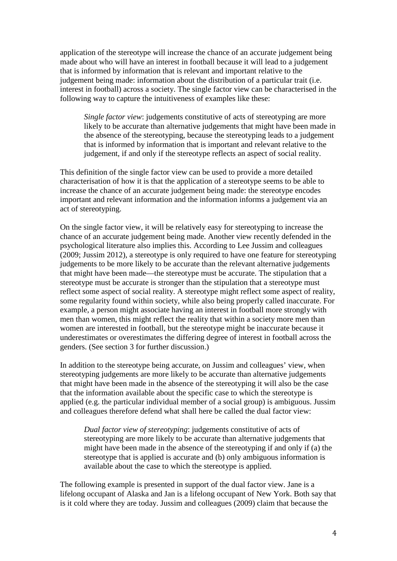application of the stereotype will increase the chance of an accurate judgement being made about who will have an interest in football because it will lead to a judgement that is informed by information that is relevant and important relative to the judgement being made: information about the distribution of a particular trait (i.e. interest in football) across a society. The single factor view can be characterised in the following way to capture the intuitiveness of examples like these:

*Single factor view*: judgements constitutive of acts of stereotyping are more likely to be accurate than alternative judgements that might have been made in the absence of the stereotyping, because the stereotyping leads to a judgement that is informed by information that is important and relevant relative to the judgement, if and only if the stereotype reflects an aspect of social reality.

This definition of the single factor view can be used to provide a more detailed characterisation of how it is that the application of a stereotype seems to be able to increase the chance of an accurate judgement being made: the stereotype encodes important and relevant information and the information informs a judgement via an act of stereotyping.

On the single factor view, it will be relatively easy for stereotyping to increase the chance of an accurate judgement being made. Another view recently defended in the psychological literature also implies this. According to Lee Jussim and colleagues (2009; Jussim 2012), a stereotype is only required to have one feature for stereotyping judgements to be more likely to be accurate than the relevant alternative judgements that might have been made—the stereotype must be accurate. The stipulation that a stereotype must be accurate is stronger than the stipulation that a stereotype must reflect some aspect of social reality. A stereotype might reflect some aspect of reality, some regularity found within society, while also being properly called inaccurate. For example, a person might associate having an interest in football more strongly with men than women, this might reflect the reality that within a society more men than women are interested in football, but the stereotype might be inaccurate because it underestimates or overestimates the differing degree of interest in football across the genders. (See section 3 for further discussion.)

In addition to the stereotype being accurate, on Jussim and colleagues' view, when stereotyping judgements are more likely to be accurate than alternative judgements that might have been made in the absence of the stereotyping it will also be the case that the information available about the specific case to which the stereotype is applied (e.g. the particular individual member of a social group) is ambiguous. Jussim and colleagues therefore defend what shall here be called the dual factor view:

*Dual factor view of stereotyping*: judgements constitutive of acts of stereotyping are more likely to be accurate than alternative judgements that might have been made in the absence of the stereotyping if and only if (a) the stereotype that is applied is accurate and (b) only ambiguous information is available about the case to which the stereotype is applied.

The following example is presented in support of the dual factor view. Jane is a lifelong occupant of Alaska and Jan is a lifelong occupant of New York. Both say that is it cold where they are today. Jussim and colleagues (2009) claim that because the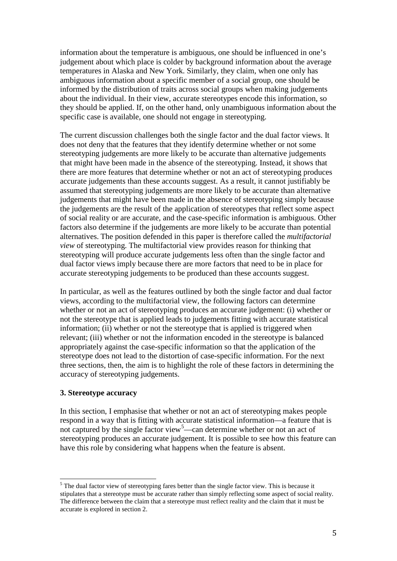information about the temperature is ambiguous, one should be influenced in one's judgement about which place is colder by background information about the average temperatures in Alaska and New York. Similarly, they claim, when one only has ambiguous information about a specific member of a social group, one should be informed by the distribution of traits across social groups when making judgements about the individual. In their view, accurate stereotypes encode this information, so they should be applied. If, on the other hand, only unambiguous information about the specific case is available, one should not engage in stereotyping.

The current discussion challenges both the single factor and the dual factor views. It does not deny that the features that they identify determine whether or not some stereotyping judgements are more likely to be accurate than alternative judgements that might have been made in the absence of the stereotyping. Instead, it shows that there are more features that determine whether or not an act of stereotyping produces accurate judgements than these accounts suggest. As a result, it cannot justifiably be assumed that stereotyping judgements are more likely to be accurate than alternative judgements that might have been made in the absence of stereotyping simply because the judgements are the result of the application of stereotypes that reflect some aspect of social reality or are accurate, and the case-specific information is ambiguous. Other factors also determine if the judgements are more likely to be accurate than potential alternatives. The position defended in this paper is therefore called the *multifactorial view* of stereotyping. The multifactorial view provides reason for thinking that stereotyping will produce accurate judgements less often than the single factor and dual factor views imply because there are more factors that need to be in place for accurate stereotyping judgements to be produced than these accounts suggest.

In particular, as well as the features outlined by both the single factor and dual factor views, according to the multifactorial view, the following factors can determine whether or not an act of stereotyping produces an accurate judgement: (i) whether or not the stereotype that is applied leads to judgements fitting with accurate statistical information; (ii) whether or not the stereotype that is applied is triggered when relevant; (iii) whether or not the information encoded in the stereotype is balanced appropriately against the case-specific information so that the application of the stereotype does not lead to the distortion of case-specific information. For the next three sections, then, the aim is to highlight the role of these factors in determining the accuracy of stereotyping judgements.

### **3. Stereotype accuracy**

In this section, I emphasise that whether or not an act of stereotyping makes people respond in a way that is fitting with accurate statistical information—a feature that is not captured by the single factor view<sup>[5](#page-3-0)</sup>—can determine whether or not an act of stereotyping produces an accurate judgement. It is possible to see how this feature can have this role by considering what happens when the feature is absent.

<span id="page-5-0"></span><sup>&</sup>lt;sup>5</sup> The dual factor view of stereotyping fares better than the single factor view. This is because it stipulates that a stereotype must be accurate rather than simply reflecting some aspect of social reality. The difference between the claim that a stereotype must reflect reality and the claim that it must be accurate is explored in section 2.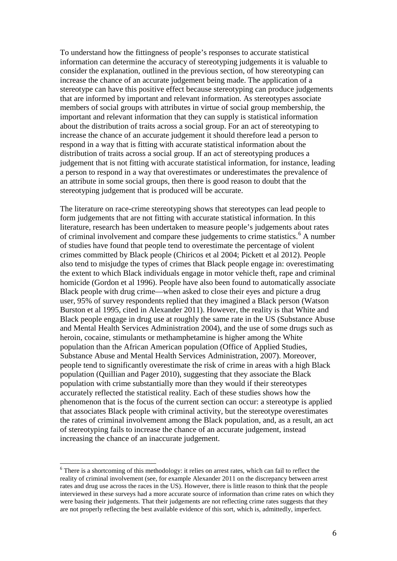To understand how the fittingness of people's responses to accurate statistical information can determine the accuracy of stereotyping judgements it is valuable to consider the explanation, outlined in the previous section, of how stereotyping can increase the chance of an accurate judgement being made. The application of a stereotype can have this positive effect because stereotyping can produce judgements that are informed by important and relevant information. As stereotypes associate members of social groups with attributes in virtue of social group membership, the important and relevant information that they can supply is statistical information about the distribution of traits across a social group. For an act of stereotyping to increase the chance of an accurate judgement it should therefore lead a person to respond in a way that is fitting with accurate statistical information about the distribution of traits across a social group. If an act of stereotyping produces a judgement that is not fitting with accurate statistical information, for instance, leading a person to respond in a way that overestimates or underestimates the prevalence of an attribute in some social groups, then there is good reason to doubt that the stereotyping judgement that is produced will be accurate.

The literature on race-crime stereotyping shows that stereotypes can lead people to form judgements that are not fitting with accurate statistical information. In this literature, research has been undertaken to measure people's judgements about rates of criminal involvement and compare these judgements to crime statistics.<sup>[6](#page-5-0)</sup> A number of studies have found that people tend to overestimate the percentage of violent crimes committed by Black people (Chiricos et al 2004; Pickett et al 2012). People also tend to misjudge the types of crimes that Black people engage in: overestimating the extent to which Black individuals engage in motor vehicle theft, rape and criminal homicide (Gordon et al 1996). People have also been found to automatically associate Black people with drug crime—when asked to close their eyes and picture a drug user, 95% of survey respondents replied that they imagined a Black person (Watson Burston et al 1995, cited in Alexander 2011). However, the reality is that White and Black people engage in drug use at roughly the same rate in the US (Substance Abuse and Mental Health Services Administration 2004), and the use of some drugs such as heroin, cocaine, stimulants or methamphetamine is higher among the White population than the African American population (Office of Applied Studies, Substance Abuse and Mental Health Services Administration, 2007). Moreover, people tend to significantly overestimate the risk of crime in areas with a high Black population (Quillian and Pager 2010), suggesting that they associate the Black population with crime substantially more than they would if their stereotypes accurately reflected the statistical reality. Each of these studies shows how the phenomenon that is the focus of the current section can occur: a stereotype is applied that associates Black people with criminal activity, but the stereotype overestimates the rates of criminal involvement among the Black population, and, as a result, an act of stereotyping fails to increase the chance of an accurate judgement, instead increasing the chance of an inaccurate judgement.

<span id="page-6-0"></span><sup>&</sup>lt;sup>6</sup> There is a shortcoming of this methodology: it relies on arrest rates, which can fail to reflect the reality of criminal involvement (see, for example Alexander 2011 on the discrepancy between arrest rates and drug use across the races in the US). However, there is little reason to think that the people interviewed in these surveys had a more accurate source of information than crime rates on which they were basing their judgements. That their judgements are not reflecting crime rates suggests that they are not properly reflecting the best available evidence of this sort, which is, admittedly, imperfect.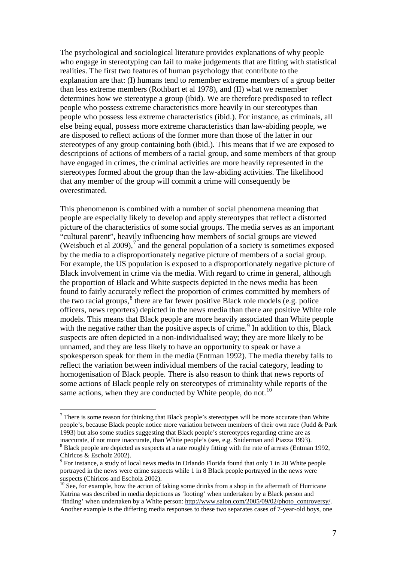The psychological and sociological literature provides explanations of why people who engage in stereotyping can fail to make judgements that are fitting with statistical realities. The first two features of human psychology that contribute to the explanation are that: (I) humans tend to remember extreme members of a group better than less extreme members (Rothbart et al 1978), and (II) what we remember determines how we stereotype a group (ibid). We are therefore predisposed to reflect people who possess extreme characteristics more heavily in our stereotypes than people who possess less extreme characteristics (ibid.). For instance, as criminals, all else being equal, possess more extreme characteristics than law-abiding people, we are disposed to reflect actions of the former more than those of the latter in our stereotypes of any group containing both (ibid.). This means that if we are exposed to descriptions of actions of members of a racial group, and some members of that group have engaged in crimes, the criminal activities are more heavily represented in the stereotypes formed about the group than the law-abiding activities. The likelihood that any member of the group will commit a crime will consequently be overestimated.

This phenomenon is combined with a number of social phenomena meaning that people are especially likely to develop and apply stereotypes that reflect a distorted picture of the characteristics of some social groups. The media serves as an important "cultural parent", heavily influencing how members of social groups are viewed (Weisbuch et al 2009),<sup>[7](#page-6-0)</sup> and the general population of a society is sometimes exposed by the media to a disproportionately negative picture of members of a social group. For example, the US population is exposed to a disproportionately negative picture of Black involvement in crime via the media. With regard to crime in general, although the proportion of Black and White suspects depicted in the news media has been found to fairly accurately reflect the proportion of crimes committed by members of the two racial groups, $<sup>8</sup>$  $<sup>8</sup>$  $<sup>8</sup>$  there are far fewer positive Black role models (e.g. police</sup> officers, news reporters) depicted in the news media than there are positive White role models. This means that Black people are more heavily associated than White people with the negative rather than the positive aspects of crime.<sup>[9](#page-7-1)</sup> In addition to this, Black suspects are often depicted in a non-individualised way; they are more likely to be unnamed, and they are less likely to have an opportunity to speak or have a spokesperson speak for them in the media (Entman 1992). The media thereby fails to reflect the variation between individual members of the racial category, leading to homogenisation of Black people. There is also reason to think that news reports of some actions of Black people rely on stereotypes of criminality while reports of the same actions, when they are conducted by White people, do not.<sup>[10](#page-7-2)</sup>

 $7$  There is some reason for thinking that Black people's stereotypes will be more accurate than White people's, because Black people notice more variation between members of their own race (Judd & Park 1993) but also some studies suggesting that Black people's stereotypes regarding crime are as inaccurate, if not more inaccurate, than White people's (see, e.g. Sniderman and Piazza 1993). <sup>8</sup> Black people are depicted as suspects at a rate roughly fitting with the rate of arrests (Entman 1992,

<span id="page-7-1"></span><span id="page-7-0"></span>Chiricos & Escholz 2002).

<sup>&</sup>lt;sup>9</sup> For instance, a study of local news media in Orlando Florida found that only 1 in 20 White people portrayed in the news were crime suspects while 1 in 8 Black people portrayed in the news were suspects (Chiricos and Escholz 2002).

<span id="page-7-2"></span> $10$  See, for example, how the action of taking some drinks from a shop in the aftermath of Hurricane Katrina was described in media depictions as 'looting' when undertaken by a Black person and 'finding' when undertaken by a White person: [http://www.salon.com/2005/09/02/photo\\_controversy/.](http://www.salon.com/2005/09/02/photo_controversy/) Another example is the differing media responses to these two separates cases of 7-year-old boys, one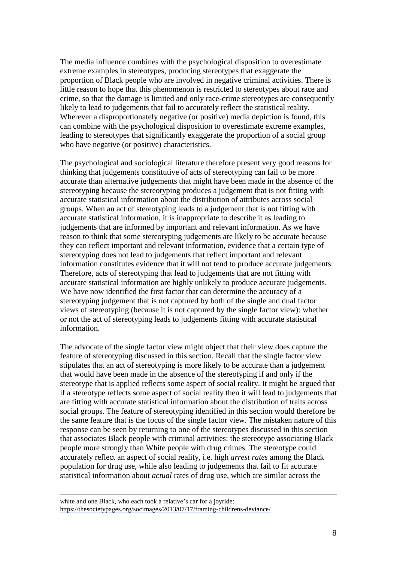The media influence combines with the psychological disposition to overestimate extreme examples in stereotypes, producing stereotypes that exaggerate the proportion of Black people who are involved in negative criminal activities. There is little reason to hope that this phenomenon is restricted to stereotypes about race and crime, so that the damage is limited and only race-crime stereotypes are consequently likely to lead to judgements that fail to accurately reflect the statistical reality. Wherever a disproportionately negative (or positive) media depiction is found, this can combine with the psychological disposition to overestimate extreme examples, leading to stereotypes that significantly exaggerate the proportion of a social group who have negative (or positive) characteristics.

The psychological and sociological literature therefore present very good reasons for thinking that judgements constitutive of acts of stereotyping can fail to be more accurate than alternative judgements that might have been made in the absence of the stereotyping because the stereotyping produces a judgement that is not fitting with accurate statistical information about the distribution of attributes across social groups. When an act of stereotyping leads to a judgement that is not fitting with accurate statistical information, it is inappropriate to describe it as leading to judgements that are informed by important and relevant information. As we have reason to think that some stereotyping judgements are likely to be accurate because they can reflect important and relevant information, evidence that a certain type of stereotyping does not lead to judgements that reflect important and relevant information constitutes evidence that it will not tend to produce accurate judgements. Therefore, acts of stereotyping that lead to judgements that are not fitting with accurate statistical information are highly unlikely to produce accurate judgements. We have now identified the first factor that can determine the accuracy of a stereotyping judgement that is not captured by both of the single and dual factor views of stereotyping (because it is not captured by the single factor view): whether or not the act of stereotyping leads to judgements fitting with accurate statistical information.

The advocate of the single factor view might object that their view does capture the feature of stereotyping discussed in this section. Recall that the single factor view stipulates that an act of stereotyping is more likely to be accurate than a judgement that would have been made in the absence of the stereotyping if and only if the stereotype that is applied reflects some aspect of social reality. It might be argued that if a stereotype reflects some aspect of social reality then it will lead to judgements that are fitting with accurate statistical information about the distribution of traits across social groups. The feature of stereotyping identified in this section would therefore be the same feature that is the focus of the single factor view. The mistaken nature of this response can be seen by returning to one of the stereotypes discussed in this section that associates Black people with criminal activities: the stereotype associating Black people more strongly than White people with drug crimes. The stereotype could accurately reflect an aspect of social reality, i.e. high *arrest rates* among the Black population for drug use, while also leading to judgements that fail to fit accurate statistical information about *actual* rates of drug use, which are similar across the

white and one Black, who each took a relative's car for a joyride: <https://thesocietypages.org/socimages/2013/07/17/framing-childrens-deviance/>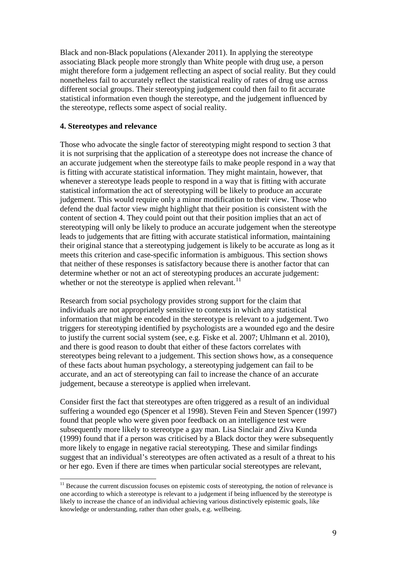Black and non-Black populations (Alexander 2011). In applying the stereotype associating Black people more strongly than White people with drug use, a person might therefore form a judgement reflecting an aspect of social reality. But they could nonetheless fail to accurately reflect the statistical reality of rates of drug use across different social groups. Their stereotyping judgement could then fail to fit accurate statistical information even though the stereotype, and the judgement influenced by the stereotype, reflects some aspect of social reality.

### **4. Stereotypes and relevance**

Those who advocate the single factor of stereotyping might respond to section 3 that it is not surprising that the application of a stereotype does not increase the chance of an accurate judgement when the stereotype fails to make people respond in a way that is fitting with accurate statistical information. They might maintain, however, that whenever a stereotype leads people to respond in a way that is fitting with accurate statistical information the act of stereotyping will be likely to produce an accurate judgement. This would require only a minor modification to their view. Those who defend the dual factor view might highlight that their position is consistent with the content of section 4. They could point out that their position implies that an act of stereotyping will only be likely to produce an accurate judgement when the stereotype leads to judgements that are fitting with accurate statistical information*,* maintaining their original stance that a stereotyping judgement is likely to be accurate as long as it meets this criterion and case-specific information is ambiguous. This section shows that neither of these responses is satisfactory because there is another factor that can determine whether or not an act of stereotyping produces an accurate judgement: whether or not the stereotype is applied when relevant.<sup>[11](#page-7-2)</sup>

Research from social psychology provides strong support for the claim that individuals are not appropriately sensitive to contexts in which any statistical information that might be encoded in the stereotype is relevant to a judgement. Two triggers for stereotyping identified by psychologists are a wounded ego and the desire to justify the current social system (see, e.g. Fiske et al. 2007; Uhlmann et al. 2010), and there is good reason to doubt that either of these factors correlates with stereotypes being relevant to a judgement. This section shows how, as a consequence of these facts about human psychology, a stereotyping judgement can fail to be accurate, and an act of stereotyping can fail to increase the chance of an accurate judgement, because a stereotype is applied when irrelevant.

<span id="page-9-0"></span>Consider first the fact that stereotypes are often triggered as a result of an individual suffering a wounded ego (Spencer et al 1998). Steven Fein and Steven Spencer (1997) found that people who were given poor feedback on an intelligence test were subsequently more likely to stereotype a gay man. Lisa Sinclair and Ziva Kunda (1999) found that if a person was criticised by a Black doctor they were subsequently more likely to engage in negative racial stereotyping. These and similar findings suggest that an individual's stereotypes are often activated as a result of a threat to his or her ego. Even if there are times when particular social stereotypes are relevant,

<sup>&</sup>lt;sup>11</sup> Because the current discussion focuses on epistemic costs of stereotyping, the notion of relevance is one according to which a stereotype is relevant to a judgement if being influenced by the stereotype is likely to increase the chance of an individual achieving various distinctively epistemic goals, like knowledge or understanding, rather than other goals, e.g. wellbeing.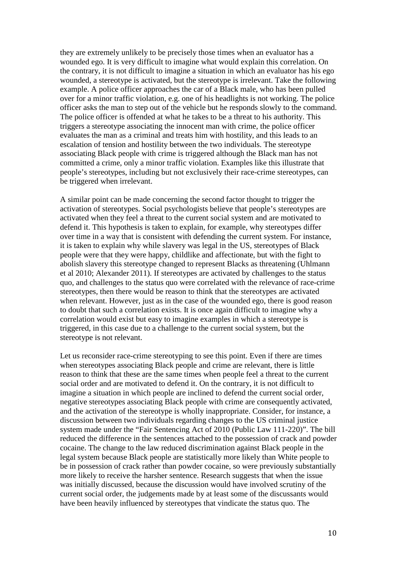they are extremely unlikely to be precisely those times when an evaluator has a wounded ego. It is very difficult to imagine what would explain this correlation. On the contrary, it is not difficult to imagine a situation in which an evaluator has his ego wounded, a stereotype is activated, but the stereotype is irrelevant. Take the following example. A police officer approaches the car of a Black male, who has been pulled over for a minor traffic violation, e.g. one of his headlights is not working. The police officer asks the man to step out of the vehicle but he responds slowly to the command. The police officer is offended at what he takes to be a threat to his authority. This triggers a stereotype associating the innocent man with crime, the police officer evaluates the man as a criminal and treats him with hostility, and this leads to an escalation of tension and hostility between the two individuals. The stereotype associating Black people with crime is triggered although the Black man has not committed a crime, only a minor traffic violation. Examples like this illustrate that people's stereotypes, including but not exclusively their race-crime stereotypes, can be triggered when irrelevant.

A similar point can be made concerning the second factor thought to trigger the activation of stereotypes. Social psychologists believe that people's stereotypes are activated when they feel a threat to the current social system and are motivated to defend it. This hypothesis is taken to explain, for example, why stereotypes differ over time in a way that is consistent with defending the current system. For instance, it is taken to explain why while slavery was legal in the US, stereotypes of Black people were that they were happy, childlike and affectionate, but with the fight to abolish slavery this stereotype changed to represent Blacks as threatening (Uhlmann et al 2010; Alexander 2011). If stereotypes are activated by challenges to the status quo, and challenges to the status quo were correlated with the relevance of race-crime stereotypes, then there would be reason to think that the stereotypes are activated when relevant. However, just as in the case of the wounded ego, there is good reason to doubt that such a correlation exists. It is once again difficult to imagine why a correlation would exist but easy to imagine examples in which a stereotype is triggered, in this case due to a challenge to the current social system, but the stereotype is not relevant.

Let us reconsider race-crime stereotyping to see this point. Even if there are times when stereotypes associating Black people and crime are relevant, there is little reason to think that these are the same times when people feel a threat to the current social order and are motivated to defend it. On the contrary, it is not difficult to imagine a situation in which people are inclined to defend the current social order, negative stereotypes associating Black people with crime are consequently activated, and the activation of the stereotype is wholly inappropriate. Consider, for instance, a discussion between two individuals regarding changes to the US criminal justice system made under the "Fair Sentencing Act of 2010 (Public Law 111-220)". The bill reduced the difference in the sentences attached to the possession of crack and powder cocaine. The change to the law reduced discrimination against Black people in the legal system because Black people are statistically more likely than White people to be in possession of crack rather than powder cocaine, so were previously substantially more likely to receive the harsher sentence. Research suggests that when the issue was initially discussed, because the discussion would have involved scrutiny of the current social order, the judgements made by at least some of the discussants would have been heavily influenced by stereotypes that vindicate the status quo. The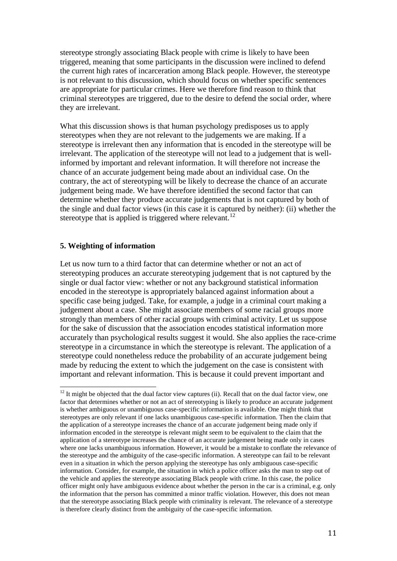stereotype strongly associating Black people with crime is likely to have been triggered, meaning that some participants in the discussion were inclined to defend the current high rates of incarceration among Black people. However, the stereotype is not relevant to this discussion, which should focus on whether specific sentences are appropriate for particular crimes. Here we therefore find reason to think that criminal stereotypes are triggered, due to the desire to defend the social order, where they are irrelevant.

What this discussion shows is that human psychology predisposes us to apply stereotypes when they are not relevant to the judgements we are making. If a stereotype is irrelevant then any information that is encoded in the stereotype will be irrelevant. The application of the stereotype will not lead to a judgement that is wellinformed by important and relevant information. It will therefore not increase the chance of an accurate judgement being made about an individual case. On the contrary, the act of stereotyping will be likely to decrease the chance of an accurate judgement being made. We have therefore identified the second factor that can determine whether they produce accurate judgements that is not captured by both of the single and dual factor views (in this case it is captured by neither): (ii) whether the stereotype that is applied is triggered where relevant.<sup>[12](#page-9-0)</sup>

### **5. Weighting of information**

Let us now turn to a third factor that can determine whether or not an act of stereotyping produces an accurate stereotyping judgement that is not captured by the single or dual factor view: whether or not any background statistical information encoded in the stereotype is appropriately balanced against information about a specific case being judged. Take, for example, a judge in a criminal court making a judgement about a case. She might associate members of some racial groups more strongly than members of other racial groups with criminal activity. Let us suppose for the sake of discussion that the association encodes statistical information more accurately than psychological results suggest it would. She also applies the race-crime stereotype in a circumstance in which the stereotype is relevant. The application of a stereotype could nonetheless reduce the probability of an accurate judgement being made by reducing the extent to which the judgement on the case is consistent with important and relevant information. This is because it could prevent important and

<span id="page-11-0"></span> $12$  It might be objected that the dual factor view captures (ii). Recall that on the dual factor view, one factor that determines whether or not an act of stereotyping is likely to produce an accurate judgement is whether ambiguous or unambiguous case-specific information is available. One might think that stereotypes are only relevant if one lacks unambiguous case-specific information. Then the claim that the application of a stereotype increases the chance of an accurate judgement being made only if information encoded in the stereotype is relevant might seem to be equivalent to the claim that the application of a stereotype increases the chance of an accurate judgement being made only in cases where one lacks unambiguous information. However, it would be a mistake to conflate the relevance of the stereotype and the ambiguity of the case-specific information. A stereotype can fail to be relevant even in a situation in which the person applying the stereotype has only ambiguous case-specific information. Consider, for example, the situation in which a police officer asks the man to step out of the vehicle and applies the stereotype associating Black people with crime. In this case, the police officer might only have ambiguous evidence about whether the person in the car is a criminal, e.g. only the information that the person has committed a minor traffic violation. However, this does not mean that the stereotype associating Black people with criminality is relevant. The relevance of a stereotype is therefore clearly distinct from the ambiguity of the case-specific information.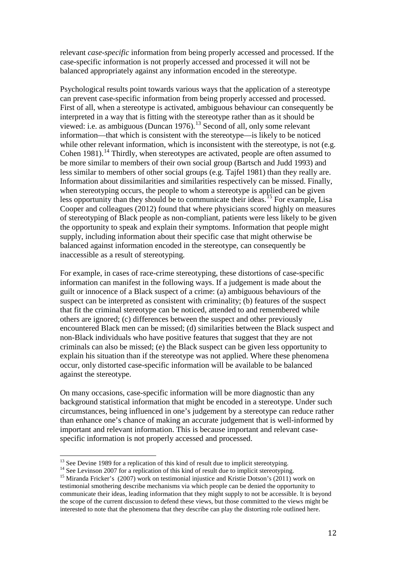relevant *case-specific* information from being properly accessed and processed. If the case-specific information is not properly accessed and processed it will not be balanced appropriately against any information encoded in the stereotype.

Psychological results point towards various ways that the application of a stereotype can prevent case-specific information from being properly accessed and processed. First of all, when a stereotype is activated, ambiguous behaviour can consequently be interpreted in a way that is fitting with the stereotype rather than as it should be viewed: i.e. as ambiguous (Duncan 1976).<sup>[13](#page-11-0)</sup> Second of all, only some relevant information—that which is consistent with the stereotype—is likely to be noticed while other relevant information, which is inconsistent with the stereotype, is not (e.g. Cohen 1981).<sup>[14](#page-12-0)</sup> Thirdly, when stereotypes are activated, people are often assumed to be more similar to members of their own social group (Bartsch and Judd 1993) and less similar to members of other social groups (e.g. Tajfel 1981) than they really are. Information about dissimilarities and similarities respectively can be missed. Finally, when stereotyping occurs, the people to whom a stereotype is applied can be given less opportunity than they should be to communicate their ideas.<sup>[15](#page-12-1)</sup> For example, Lisa Cooper and colleagues (2012) found that where physicians scored highly on measures of stereotyping of Black people as non-compliant, patients were less likely to be given the opportunity to speak and explain their symptoms. Information that people might supply, including information about their specific case that might otherwise be balanced against information encoded in the stereotype, can consequently be inaccessible as a result of stereotyping.

For example, in cases of race-crime stereotyping, these distortions of case-specific information can manifest in the following ways. If a judgement is made about the guilt or innocence of a Black suspect of a crime: (a) ambiguous behaviours of the suspect can be interpreted as consistent with criminality; (b) features of the suspect that fit the criminal stereotype can be noticed, attended to and remembered while others are ignored; (c) differences between the suspect and other previously encountered Black men can be missed; (d) similarities between the Black suspect and non-Black individuals who have positive features that suggest that they are not criminals can also be missed; (e) the Black suspect can be given less opportunity to explain his situation than if the stereotype was not applied. Where these phenomena occur, only distorted case-specific information will be available to be balanced against the stereotype.

On many occasions, case-specific information will be more diagnostic than any background statistical information that might be encoded in a stereotype. Under such circumstances, being influenced in one's judgement by a stereotype can reduce rather than enhance one's chance of making an accurate judgement that is well-informed by important and relevant information. This is because important and relevant casespecific information is not properly accessed and processed.

<span id="page-12-2"></span><span id="page-12-1"></span>

<span id="page-12-0"></span><sup>&</sup>lt;sup>13</sup> See Devine 1989 for a replication of this kind of result due to implicit stereotyping.<br><sup>14</sup> See Levinson 2007 for a replication of this kind of result due to implicit stereotyping.<br><sup>15</sup> Miranda Fricker's (2007) work testimonial smothering describe mechanisms via which people can be denied the opportunity to communicate their ideas, leading information that they might supply to not be accessible. It is beyond the scope of the current discussion to defend these views, but those committed to the views might be interested to note that the phenomena that they describe can play the distorting role outlined here.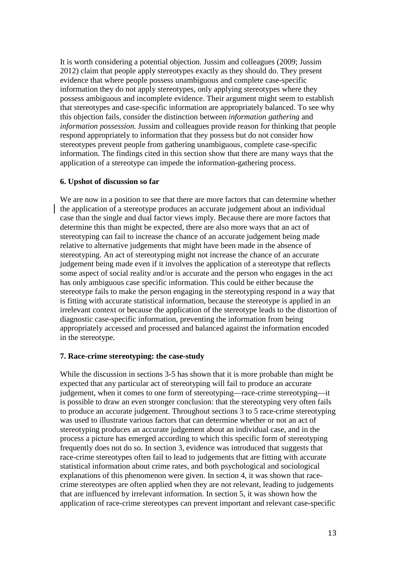It is worth considering a potential objection. Jussim and colleagues (2009; Jussim 2012) claim that people apply stereotypes exactly as they should do. They present evidence that where people possess unambiguous and complete case-specific information they do not apply stereotypes, only applying stereotypes where they possess ambiguous and incomplete evidence. Their argument might seem to establish that stereotypes and case-specific information are appropriately balanced. To see why this objection fails, consider the distinction between *information gathering* and *information possession.* Jussim and colleagues provide reason for thinking that people respond appropriately to information that they possess but do not consider how stereotypes prevent people from gathering unambiguous, complete case-specific information. The findings cited in this section show that there are many ways that the application of a stereotype can impede the information-gathering process.

#### **6. Upshot of discussion so far**

We are now in a position to see that there are more factors that can determine whether the application of a stereotype produces an accurate judgement about an individual case than the single and dual factor views imply. Because there are more factors that determine this than might be expected, there are also more ways that an act of stereotyping can fail to increase the chance of an accurate judgement being made relative to alternative judgements that might have been made in the absence of stereotyping. An act of stereotyping might not increase the chance of an accurate judgement being made even if it involves the application of a stereotype that reflects some aspect of social reality and/or is accurate and the person who engages in the act has only ambiguous case specific information. This could be either because the stereotype fails to make the person engaging in the stereotyping respond in a way that is fitting with accurate statistical information, because the stereotype is applied in an irrelevant context or because the application of the stereotype leads to the distortion of diagnostic case-specific information, preventing the information from being appropriately accessed and processed and balanced against the information encoded in the stereotype.

#### **7. Race-crime stereotyping: the case-study**

While the discussion in sections 3-5 has shown that it is more probable than might be expected that any particular act of stereotyping will fail to produce an accurate judgement, when it comes to one form of stereotyping—race-crime stereotyping—it is possible to draw an even stronger conclusion: that the stereotyping very often fails to produce an accurate judgement. Throughout sections 3 to 5 race-crime stereotyping was used to illustrate various factors that can determine whether or not an act of stereotyping produces an accurate judgement about an individual case, and in the process a picture has emerged according to which this specific form of stereotyping frequently does not do so. In section 3, evidence was introduced that suggests that race-crime stereotypes often fail to lead to judgements that are fitting with accurate statistical information about crime rates, and both psychological and sociological explanations of this phenomenon were given. In section 4, it was shown that racecrime stereotypes are often applied when they are not relevant, leading to judgements that are influenced by irrelevant information. In section 5, it was shown how the application of race-crime stereotypes can prevent important and relevant case-specific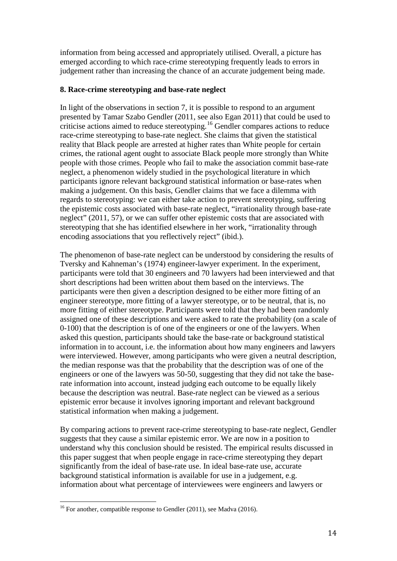information from being accessed and appropriately utilised. Overall, a picture has emerged according to which race-crime stereotyping frequently leads to errors in judgement rather than increasing the chance of an accurate judgement being made.

### **8. Race-crime stereotyping and base-rate neglect**

In light of the observations in section 7, it is possible to respond to an argument presented by Tamar Szabo Gendler (2011, see also Egan 2011) that could be used to criticise actions aimed to reduce stereotyping.<sup>[16](#page-12-2)</sup> Gendler compares actions to reduce race-crime stereotyping to base-rate neglect. She claims that given the statistical reality that Black people are arrested at higher rates than White people for certain crimes, the rational agent ought to associate Black people more strongly than White people with those crimes. People who fail to make the association commit base-rate neglect, a phenomenon widely studied in the psychological literature in which participants ignore relevant background statistical information or base-rates when making a judgement. On this basis, Gendler claims that we face a dilemma with regards to stereotyping: we can either take action to prevent stereotyping, suffering the epistemic costs associated with base-rate neglect, "irrationality through base-rate neglect" (2011, 57), or we can suffer other epistemic costs that are associated with stereotyping that she has identified elsewhere in her work, "irrationality through encoding associations that you reflectively reject" (ibid.).

The phenomenon of base-rate neglect can be understood by considering the results of Tversky and Kahneman's (1974) engineer-lawyer experiment. In the experiment, participants were told that 30 engineers and 70 lawyers had been interviewed and that short descriptions had been written about them based on the interviews. The participants were then given a description designed to be either more fitting of an engineer stereotype, more fitting of a lawyer stereotype, or to be neutral, that is, no more fitting of either stereotype. Participants were told that they had been randomly assigned one of these descriptions and were asked to rate the probability (on a scale of 0-100) that the description is of one of the engineers or one of the lawyers. When asked this question, participants should take the base-rate or background statistical information in to account, i.e. the information about how many engineers and lawyers were interviewed. However, among participants who were given a neutral description, the median response was that the probability that the description was of one of the engineers or one of the lawyers was 50-50, suggesting that they did not take the baserate information into account, instead judging each outcome to be equally likely because the description was neutral. Base-rate neglect can be viewed as a serious epistemic error because it involves ignoring important and relevant background statistical information when making a judgement.

By comparing actions to prevent race-crime stereotyping to base-rate neglect, Gendler suggests that they cause a similar epistemic error. We are now in a position to understand why this conclusion should be resisted. The empirical results discussed in this paper suggest that when people engage in race-crime stereotyping they depart significantly from the ideal of base-rate use. In ideal base-rate use, accurate background statistical information is available for use in a judgement, e.g. information about what percentage of interviewees were engineers and lawyers or

<sup>&</sup>lt;sup>16</sup> For another, compatible response to Gendler (2011), see Madva (2016).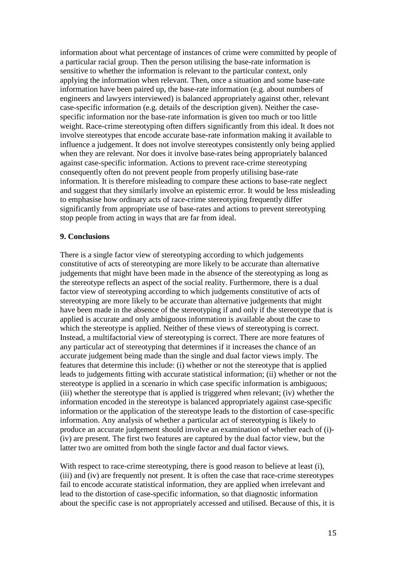information about what percentage of instances of crime were committed by people of a particular racial group. Then the person utilising the base-rate information is sensitive to whether the information is relevant to the particular context, only applying the information when relevant. Then, once a situation and some base-rate information have been paired up, the base-rate information (e.g. about numbers of engineers and lawyers interviewed) is balanced appropriately against other, relevant case-specific information (e.g. details of the description given). Neither the casespecific information nor the base-rate information is given too much or too little weight. Race-crime stereotyping often differs significantly from this ideal. It does not involve stereotypes that encode accurate base-rate information making it available to influence a judgement. It does not involve stereotypes consistently only being applied when they are relevant. Nor does it involve base-rates being appropriately balanced against case-specific information. Actions to prevent race-crime stereotyping consequently often do not prevent people from properly utilising base-rate information. It is therefore misleading to compare these actions to base-rate neglect and suggest that they similarly involve an epistemic error. It would be less misleading to emphasise how ordinary acts of race-crime stereotyping frequently differ significantly from appropriate use of base-rates and actions to prevent stereotyping stop people from acting in ways that are far from ideal.

### **9. Conclusions**

There is a single factor view of stereotyping according to which judgements constitutive of acts of stereotyping are more likely to be accurate than alternative judgements that might have been made in the absence of the stereotyping as long as the stereotype reflects an aspect of the social reality. Furthermore, there is a dual factor view of stereotyping according to which judgements constitutive of acts of stereotyping are more likely to be accurate than alternative judgements that might have been made in the absence of the stereotyping if and only if the stereotype that is applied is accurate and only ambiguous information is available about the case to which the stereotype is applied. Neither of these views of stereotyping is correct. Instead, a multifactorial view of stereotyping is correct. There are more features of any particular act of stereotyping that determines if it increases the chance of an accurate judgement being made than the single and dual factor views imply. The features that determine this include: (i) whether or not the stereotype that is applied leads to judgements fitting with accurate statistical information; (ii) whether or not the stereotype is applied in a scenario in which case specific information is ambiguous; (iii) whether the stereotype that is applied is triggered when relevant; (iv) whether the information encoded in the stereotype is balanced appropriately against case-specific information or the application of the stereotype leads to the distortion of case-specific information. Any analysis of whether a particular act of stereotyping is likely to produce an accurate judgement should involve an examination of whether each of (i)- (iv) are present. The first two features are captured by the dual factor view, but the latter two are omitted from both the single factor and dual factor views.

With respect to race-crime stereotyping, there is good reason to believe at least (i), (iii) and (iv) are frequently not present. It is often the case that race-crime stereotypes fail to encode accurate statistical information, they are applied when irrelevant and lead to the distortion of case-specific information, so that diagnostic information about the specific case is not appropriately accessed and utilised. Because of this, it is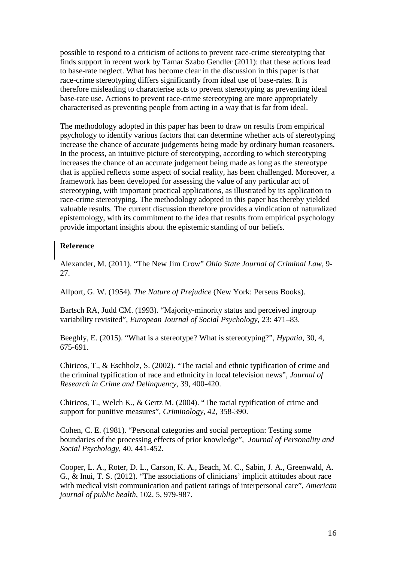possible to respond to a criticism of actions to prevent race-crime stereotyping that finds support in recent work by Tamar Szabo Gendler (2011): that these actions lead to base-rate neglect. What has become clear in the discussion in this paper is that race-crime stereotyping differs significantly from ideal use of base-rates. It is therefore misleading to characterise acts to prevent stereotyping as preventing ideal base-rate use. Actions to prevent race-crime stereotyping are more appropriately characterised as preventing people from acting in a way that is far from ideal.

The methodology adopted in this paper has been to draw on results from empirical psychology to identify various factors that can determine whether acts of stereotyping increase the chance of accurate judgements being made by ordinary human reasoners. In the process, an intuitive picture of stereotyping, according to which stereotyping increases the chance of an accurate judgement being made as long as the stereotype that is applied reflects some aspect of social reality, has been challenged. Moreover, a framework has been developed for assessing the value of any particular act of stereotyping, with important practical applications, as illustrated by its application to race-crime stereotyping. The methodology adopted in this paper has thereby yielded valuable results. The current discussion therefore provides a vindication of naturalized epistemology, with its commitment to the idea that results from empirical psychology provide important insights about the epistemic standing of our beliefs.

## **Reference**

Alexander, M. (2011). "The New Jim Crow" *Ohio State Journal of Criminal Law*, 9- 27.

Allport, G. W. (1954). *The Nature of Prejudice* (New York: Perseus Books).

Bartsch RA, Judd CM. (1993). "Majority-minority status and perceived ingroup variability revisited", *European Journal of Social Psychology*, 23: 471–83.

Beeghly, E. (2015). "What is a stereotype? What is stereotyping?", *Hypatia*, 30, 4, 675-691.

Chiricos, T., & Eschholz, S. (2002). "The racial and ethnic typification of crime and the criminal typification of race and ethnicity in local television news", *Journal of Research in Crime and Delinquency*, 39, 400-420.

Chiricos, T., Welch K., & Gertz M. (2004). "The racial typification of crime and support for punitive measures", *Criminology*, 42, 358-390.

Cohen, C. E. (1981). "Personal categories and social perception: Testing some boundaries of the processing effects of prior knowledge"*, Journal of Personality and Social Psychology*, 40, 441-452.

Cooper, L. A., Roter, D. L., Carson, K. A., Beach, M. C., Sabin, J. A., Greenwald, A. G., & Inui, T. S. (2012). "The associations of clinicians' implicit attitudes about race with medical visit communication and patient ratings of interpersonal care", *American journal of public health*, 102, 5, 979-987.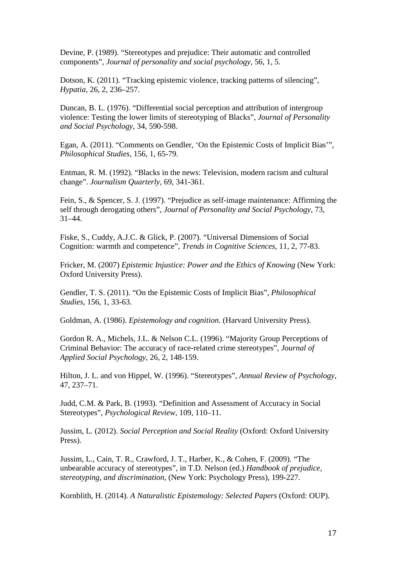Devine, P. (1989). "Stereotypes and prejudice: Their automatic and controlled components", *Journal of personality and social psychology*, 56, 1, 5.

Dotson, K. (2011). "Tracking epistemic violence, tracking patterns of silencing", *Hypatia*, 26, 2, 236–257.

Duncan, B. L. (1976). "Differential social perception and attribution of intergroup violence: Testing the lower limits of stereotyping of Blacks", *Journal of Personality and Social Psychology*, 34, 590-598.

Egan, A. (2011). "Comments on Gendler, 'On the Epistemic Costs of Implicit Bias'", *Philosophical Studies,* 156, 1, 65-79.

Entman, R. M. (1992). "Blacks in the news: Television, modern racism and cultural change". *Journalism Quarterly,* 69, 341-361.

Fein, S., & Spencer, S. J. (1997). "Prejudice as self-image maintenance: Affirming the self through derogating others", *Journal of Personality and Social Psychology*, 73, 31–44.

Fiske, S., Cuddy, A.J.C. & Glick, P. (2007). "Universal Dimensions of Social Cognition: warmth and competence", *Trends in Cognitive Sciences*, 11, 2, 77-83.

Fricker, M. (2007) *Epistemic Injustice: Power and the Ethics of Knowing* (New York: Oxford University Press).

Gendler, T. S. (2011). "On the Epistemic Costs of Implicit Bias", *Philosophical Studies*, 156, 1, 33-63.

Goldman, A. (1986). *Epistemology and cognition*. (Harvard University Press).

Gordon R. A., Michels, J.L. & Nelson C.L. (1996). "Majority Group Perceptions of Criminal Behavior: The accuracy of race-related crime stereotypes", *Journal of Applied Social Psychology*, 26, 2, 148-159.

Hilton, J. L. and von Hippel, W. (1996). "Stereotypes", *Annual Review of Psychology*, 47, 237–71.

Judd, C.M. & Park, B. (1993). "Definition and Assessment of Accuracy in Social Stereotypes", *Psychological Review*, 109, 110–11.

Jussim, L. (2012). *Social Perception and Social Reality* (Oxford: Oxford University Press).

Jussim, L., Cain, T. R., Crawford, J. T., Harber, K., & Cohen, F. (2009). "The unbearable accuracy of stereotypes", in T.D. Nelson (ed.) *Handbook of prejudice, stereotyping, and discrimination*, (New York: Psychology Press), 199-227.

Kornblith, H. (2014). *A Naturalistic Epistemology: Selected Papers* (Oxford: OUP).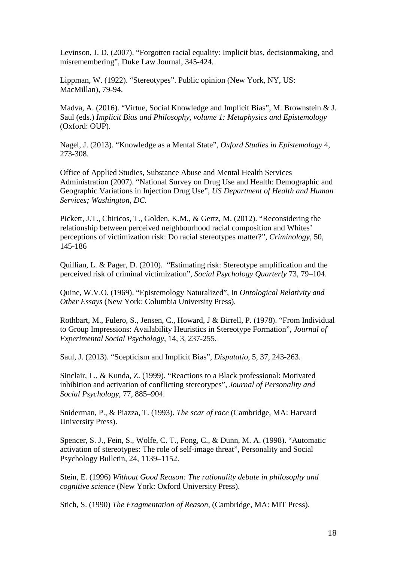Levinson, J. D. (2007). "Forgotten racial equality: Implicit bias, decisionmaking, and misremembering", Duke Law Journal, 345-424.

Lippman, W. (1922). "Stereotypes". Public opinion (New York, NY, US: MacMillan), 79-94.

Madva, A. (2016). "Virtue, Social Knowledge and Implicit Bias", M. Brownstein & J. Saul (eds.) *Implicit Bias and Philosophy, volume 1: Metaphysics and Epistemology* (Oxford: OUP).

Nagel, J. (2013). "Knowledge as a Mental State", *Oxford Studies in Epistemology* 4, 273-308.

Office of Applied Studies, Substance Abuse and Mental Health Services Administration (2007). "National Survey on Drug Use and Health: Demographic and Geographic Variations in Injection Drug Use", *US Department of Health and Human Services; Washington, DC.*

Pickett, J.T., Chiricos, T., Golden, K.M., & Gertz, M. (2012). "Reconsidering the relationship between perceived neighbourhood racial composition and Whites' perceptions of victimization risk: Do racial stereotypes matter?", *Criminology,* 50, 145-186

Quillian, L. & Pager, D. (2010). "Estimating risk: Stereotype amplification and the perceived risk of criminal victimization", *Social Psychology Quarterly* 73, 79–104.

Quine, W.V.O. (1969). "Epistemology Naturalized", In *Ontological Relativity and Other Essays* (New York: Columbia University Press).

Rothbart, M., Fulero, S., Jensen, C., Howard, J & Birrell, P. (1978). "From Individual to Group Impressions: Availability Heuristics in Stereotype Formation", *Journal of Experimental Social Psychology*, 14, 3, 237-255.

Saul, J. (2013). "Scepticism and Implicit Bias", *Disputatio*, 5, 37, 243-263.

Sinclair, L., & Kunda, Z. (1999). "Reactions to a Black professional: Motivated inhibition and activation of conflicting stereotypes", *Journal of Personality and Social Psychology*, 77, 885–904.

Sniderman, P., & Piazza, T. (1993). *The scar of race* (Cambridge, MA: Harvard University Press).

Spencer, S. J., Fein, S., Wolfe, C. T., Fong, C., & Dunn, M. A. (1998). "Automatic activation of stereotypes: The role of self-image threat", Personality and Social Psychology Bulletin, 24, 1139–1152.

Stein, E. (1996) *Without Good Reason: The rationality debate in philosophy and cognitive science* (New York: Oxford University Press).

Stich, S. (1990) *The Fragmentation of Reason*, (Cambridge, MA: MIT Press).